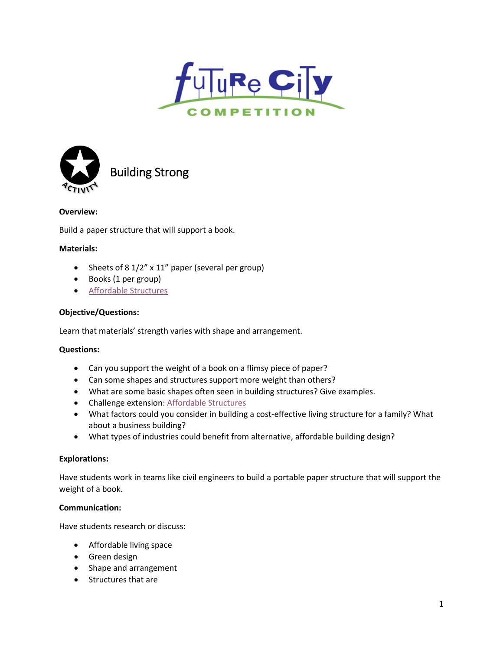



Building Strong

# **Overview:**

Build a paper structure that will support a book.

## **Materials:**

- Sheets of 8 1/2" x 11" paper (several per group)
- Books (1 per group)
- [Affordable Structures](http://futurecity.org/sites/default/files/act3.affordablestructures.modconcepts.pdf)

## **Objective/Questions:**

Learn that materials' strength varies with shape and arrangement.

## **Questions:**

- Can you support the weight of a book on a flimsy piece of paper?
- Can some shapes and structures support more weight than others?
- What are some basic shapes often seen in building structures? Give examples.
- Challenge extension: [Affordable Structures](http://futurecity.org/sites/default/files/act3.affordablestructures.modconcepts.pdf)
- What factors could you consider in building a cost-effective living structure for a family? What about a business building?
- What types of industries could benefit from alternative, affordable building design?

## **Explorations:**

Have students work in teams like civil engineers to build a portable paper structure that will support the weight of a book.

## **Communication:**

Have students research or discuss:

- Affordable living space
- Green design
- Shape and arrangement
- Structures that are